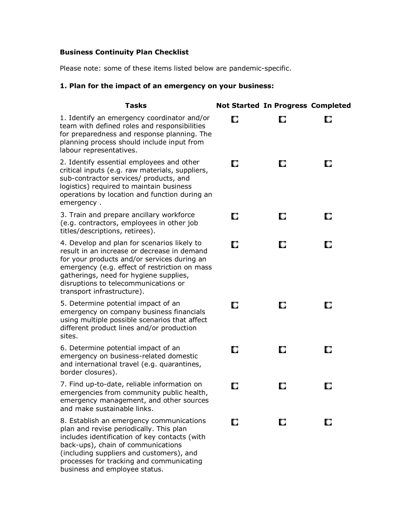#### **Business Continuity Plan Checklist**

Please note: some of these items listed below are pandemic-specific.

# **1. Plan for the impact of an emergency on your business:**

| <b>Tasks</b>                                                                                                                                                                                                                                                                                               |    | <b>Not Started In Progress Completed</b> |   |
|------------------------------------------------------------------------------------------------------------------------------------------------------------------------------------------------------------------------------------------------------------------------------------------------------------|----|------------------------------------------|---|
| 1. Identify an emergency coordinator and/or<br>team with defined roles and responsibilities<br>for preparedness and response planning. The<br>planning process should include input from<br>labour representatives.                                                                                        | O  |                                          | О |
| 2. Identify essential employees and other<br>critical inputs (e.g. raw materials, suppliers,<br>sub-contractor services/ products, and<br>logistics) required to maintain business<br>operations by location and function during an<br>emergency.                                                          | O  | O                                        | O |
| 3. Train and prepare ancillary workforce<br>(e.g. contractors, employees in other job<br>titles/descriptions, retirees).                                                                                                                                                                                   | O  | O                                        | o |
| 4. Develop and plan for scenarios likely to<br>result in an increase or decrease in demand<br>for your products and/or services during an<br>emergency (e.g. effect of restriction on mass<br>gatherings, need for hygiene supplies,<br>disruptions to telecommunications or<br>transport infrastructure). | O  | О                                        | O |
| 5. Determine potential impact of an<br>emergency on company business financials<br>using multiple possible scenarios that affect<br>different product lines and/or production<br>sites.                                                                                                                    | О  | О                                        | O |
| 6. Determine potential impact of an<br>emergency on business-related domestic<br>and international travel (e.g. quarantines,<br>border closures).                                                                                                                                                          | O  | O                                        | O |
| 7. Find up-to-date, reliable information on<br>emergencies from community public health,<br>emergency management, and other sources<br>and make sustainable links.                                                                                                                                         | O  | U                                        | O |
| 8. Establish an emergency communications<br>plan and revise periodically. This plan<br>includes identification of key contacts (with<br>back-ups), chain of communications<br>(including suppliers and customers), and<br>processes for tracking and communicating<br>business and employee status.        | O. | O.                                       | o |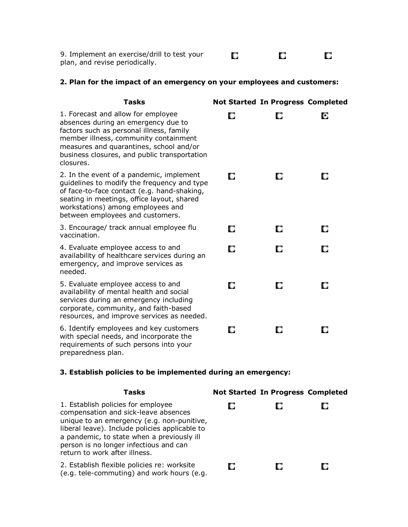| 9. Implement an exercise/drill to test your |  |  |
|---------------------------------------------|--|--|
| plan, and revise periodically.              |  |  |

#### **2. Plan for the impact of an emergency on your employees and customers:**

| <b>Tasks</b>                                                                                                                                                                                                                                                           |   | <b>Not Started In Progress Completed</b> |    |
|------------------------------------------------------------------------------------------------------------------------------------------------------------------------------------------------------------------------------------------------------------------------|---|------------------------------------------|----|
| 1. Forecast and allow for employee<br>absences during an emergency due to<br>factors such as personal illness, family<br>member illness, community containment<br>measures and quarantines, school and/or<br>business closures, and public transportation<br>closures. | O | O                                        | о  |
| 2. In the event of a pandemic, implement<br>guidelines to modify the frequency and type<br>of face-to-face contact (e.g. hand-shaking,<br>seating in meetings, office layout, shared<br>workstations) among employees and<br>between employees and customers.          | О | O                                        | U  |
| 3. Encourage/ track annual employee flu<br>vaccination.                                                                                                                                                                                                                | o | О                                        | О  |
| 4. Evaluate employee access to and<br>availability of healthcare services during an<br>emergency, and improve services as<br>needed.                                                                                                                                   | O | О                                        | O. |
| 5. Evaluate employee access to and<br>availability of mental health and social<br>services during an emergency including<br>corporate, community, and faith-based<br>resources, and improve services as needed.                                                        | О | О                                        | О  |
| 6. Identify employees and key customers<br>with special needs, and incorporate the<br>requirements of such persons into your<br>preparedness plan.                                                                                                                     | O | O                                        | O  |

# **3. Establish policies to be implemented during an emergency:**

| <b>Tasks</b>                                                                                                                                                                                                                                                                                        | <b>Not Started In Progress Completed</b> |  |
|-----------------------------------------------------------------------------------------------------------------------------------------------------------------------------------------------------------------------------------------------------------------------------------------------------|------------------------------------------|--|
| 1. Establish policies for employee<br>compensation and sick-leave absences<br>unique to an emergency (e.g. non-punitive,<br>liberal leave). Include policies applicable to<br>a pandemic, to state when a previously ill<br>person is no longer infectious and can<br>return to work after illness. |                                          |  |
| 2. Establish flexible policies re: worksite<br>(e.g. tele-commuting) and work hours (e.g.                                                                                                                                                                                                           |                                          |  |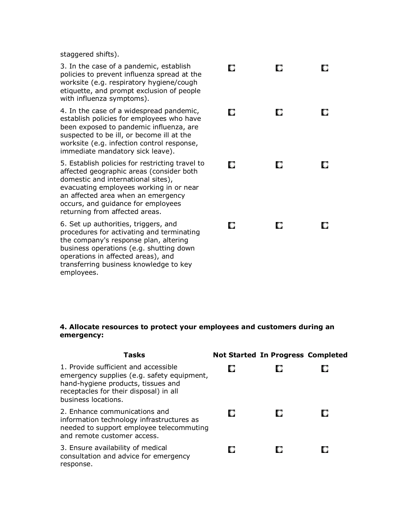staggered shifts).

3. In the case of a pandemic, establish policies to prevent influenza spread at the worksite (e.g. respiratory hygiene/cough etiquette, and prompt exclusion of people with influenza symptoms).

4. In the case of a widespread pandemic, establish policies for employees who have been exposed to pandemic influenza, are suspected to be ill, or become ill at the worksite (e.g. infection control response, immediate mandatory sick leave).

5. Establish policies for restricting travel to affected geographic areas (consider both domestic and international sites), evacuating employees working in or near an affected area when an emergency occurs, and guidance for employees returning from affected areas.

6. Set up authorities, triggers, and procedures for activating and terminating the company's response plan, altering business operations (e.g. shutting down operations in affected areas), and transferring business knowledge to key employees.

| O | O | О |
|---|---|---|
| C | O | О |
| O | O | О |
| O | О | O |

#### **4. Allocate resources to protect your employees and customers during an emergency:**

| <b>Tasks</b>                                                                                                                                                                              | <b>Not Started In Progress Completed</b> |  |
|-------------------------------------------------------------------------------------------------------------------------------------------------------------------------------------------|------------------------------------------|--|
| 1. Provide sufficient and accessible<br>emergency supplies (e.g. safety equipment,<br>hand-hygiene products, tissues and<br>receptacles for their disposal) in all<br>business locations. |                                          |  |
| 2. Enhance communications and<br>information technology infrastructures as<br>needed to support employee telecommuting<br>and remote customer access.                                     |                                          |  |
| 3. Ensure availability of medical<br>consultation and advice for emergency<br>response.                                                                                                   |                                          |  |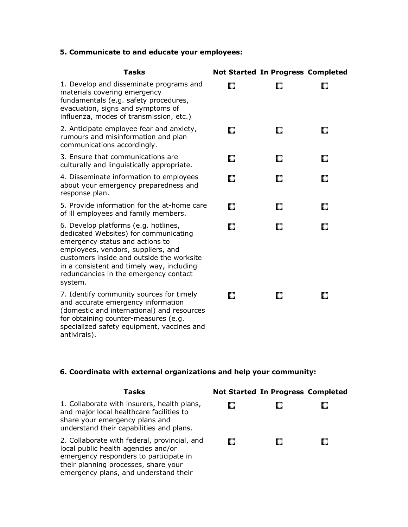### **5. Communicate to and educate your employees:**

| <b>Tasks</b>                                                                                                                                                                                                                                                                                         |   | <b>Not Started In Progress Completed</b> |    |
|------------------------------------------------------------------------------------------------------------------------------------------------------------------------------------------------------------------------------------------------------------------------------------------------------|---|------------------------------------------|----|
| 1. Develop and disseminate programs and<br>materials covering emergency<br>fundamentals (e.g. safety procedures,<br>evacuation, signs and symptoms of<br>influenza, modes of transmission, etc.)                                                                                                     | О | U                                        | О  |
| 2. Anticipate employee fear and anxiety,<br>rumours and misinformation and plan<br>communications accordingly.                                                                                                                                                                                       | O | О                                        | O  |
| 3. Ensure that communications are<br>culturally and linguistically appropriate.                                                                                                                                                                                                                      | O | О                                        | O  |
| 4. Disseminate information to employees<br>about your emergency preparedness and<br>response plan.                                                                                                                                                                                                   | О | О                                        | O  |
| 5. Provide information for the at-home care<br>of ill employees and family members.                                                                                                                                                                                                                  | O | O                                        | O  |
| 6. Develop platforms (e.g. hotlines,<br>dedicated Websites) for communicating<br>emergency status and actions to<br>employees, vendors, suppliers, and<br>customers inside and outside the worksite<br>in a consistent and timely way, including<br>redundancies in the emergency contact<br>system. | О | О                                        | О  |
| 7. Identify community sources for timely<br>and accurate emergency information<br>(domestic and international) and resources<br>for obtaining counter-measures (e.g.<br>specialized safety equipment, vaccines and<br>antivirals).                                                                   | n | O                                        | U. |

# **6. Coordinate with external organizations and help your community:**

| Tasks                                                                                                                                                                                                          | <b>Not Started In Progress Completed</b> |  |
|----------------------------------------------------------------------------------------------------------------------------------------------------------------------------------------------------------------|------------------------------------------|--|
| 1. Collaborate with insurers, health plans,<br>and major local healthcare facilities to<br>share your emergency plans and<br>understand their capabilities and plans.                                          |                                          |  |
| 2. Collaborate with federal, provincial, and<br>local public health agencies and/or<br>emergency responders to participate in<br>their planning processes, share your<br>emergency plans, and understand their |                                          |  |